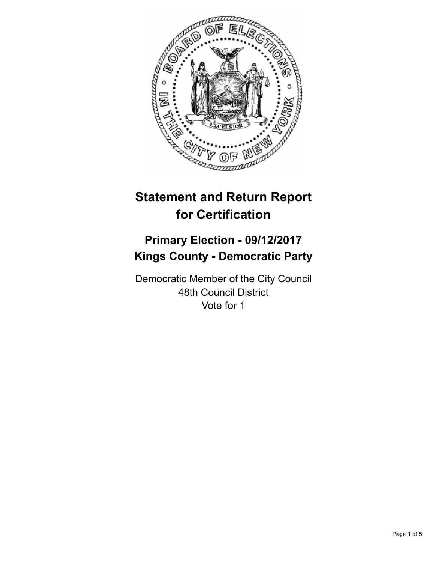

# **Statement and Return Report for Certification**

## **Primary Election - 09/12/2017 Kings County - Democratic Party**

Democratic Member of the City Council 48th Council District Vote for 1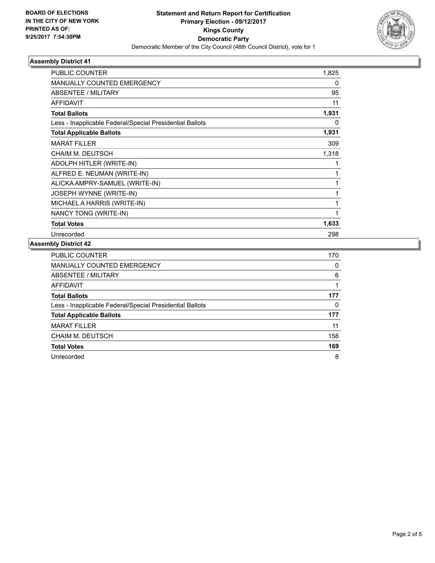

## **Assembly District 41**

| <b>PUBLIC COUNTER</b>                                    | 1,825 |
|----------------------------------------------------------|-------|
| <b>MANUALLY COUNTED EMERGENCY</b>                        | 0     |
| ABSENTEE / MILITARY                                      | 95    |
| <b>AFFIDAVIT</b>                                         | 11    |
| <b>Total Ballots</b>                                     | 1,931 |
| Less - Inapplicable Federal/Special Presidential Ballots | 0     |
| <b>Total Applicable Ballots</b>                          | 1,931 |
| <b>MARAT FILLER</b>                                      | 309   |
| CHAIM M. DEUTSCH                                         | 1,318 |
| ADOLPH HITLER (WRITE-IN)                                 | 1     |
| ALFRED E. NEUMAN (WRITE-IN)                              | 1     |
| ALICKA AMPRY-SAMUEL (WRITE-IN)                           | 1     |
| JOSEPH WYNNE (WRITE-IN)                                  | 1     |
| MICHAEL A HARRIS (WRITE-IN)                              | 1     |
| NANCY TONG (WRITE-IN)                                    | 1     |
| <b>Total Votes</b>                                       | 1,633 |
| Unrecorded                                               | 298   |
|                                                          |       |

#### **Assembly District 42**

| <b>PUBLIC COUNTER</b>                                    | 170 |
|----------------------------------------------------------|-----|
| <b>MANUALLY COUNTED EMERGENCY</b>                        | 0   |
| ABSENTEE / MILITARY                                      | 6   |
| AFFIDAVIT                                                |     |
| <b>Total Ballots</b>                                     | 177 |
| Less - Inapplicable Federal/Special Presidential Ballots | 0   |
| <b>Total Applicable Ballots</b>                          | 177 |
| <b>MARAT FILLER</b>                                      | 11  |
| <b>CHAIM M. DEUTSCH</b>                                  | 158 |
| <b>Total Votes</b>                                       | 169 |
| Unrecorded                                               | 8   |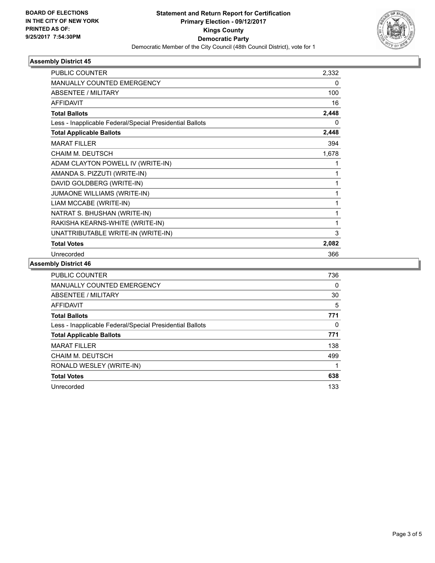

## **Assembly District 45**

| <b>PUBLIC COUNTER</b>                                    | 2,332 |
|----------------------------------------------------------|-------|
| <b>MANUALLY COUNTED EMERGENCY</b>                        | 0     |
| <b>ABSENTEE / MILITARY</b>                               | 100   |
| <b>AFFIDAVIT</b>                                         | 16    |
| <b>Total Ballots</b>                                     | 2,448 |
| Less - Inapplicable Federal/Special Presidential Ballots | 0     |
| <b>Total Applicable Ballots</b>                          | 2,448 |
| <b>MARAT FILLER</b>                                      | 394   |
| <b>CHAIM M. DEUTSCH</b>                                  | 1,678 |
| ADAM CLAYTON POWELL IV (WRITE-IN)                        | 1     |
| AMANDA S. PIZZUTI (WRITE-IN)                             | 1     |
| DAVID GOLDBERG (WRITE-IN)                                | 1     |
| JUMAONE WILLIAMS (WRITE-IN)                              | 1     |
| LIAM MCCABE (WRITE-IN)                                   | 1     |
| NATRAT S. BHUSHAN (WRITE-IN)                             | 1     |
| RAKISHA KEARNS-WHITE (WRITE-IN)                          | 1     |
| UNATTRIBUTABLE WRITE-IN (WRITE-IN)                       | 3     |
| <b>Total Votes</b>                                       | 2,082 |
| Unrecorded                                               | 366   |

## **Assembly District 46**

| <b>PUBLIC COUNTER</b>                                    | 736 |
|----------------------------------------------------------|-----|
| <b>MANUALLY COUNTED EMERGENCY</b>                        | 0   |
| <b>ABSENTEE / MILITARY</b>                               | 30  |
| <b>AFFIDAVIT</b>                                         | 5   |
| <b>Total Ballots</b>                                     | 771 |
| Less - Inapplicable Federal/Special Presidential Ballots | 0   |
| <b>Total Applicable Ballots</b>                          | 771 |
| <b>MARAT FILLER</b>                                      | 138 |
| CHAIM M. DEUTSCH                                         | 499 |
| RONALD WESLEY (WRITE-IN)                                 |     |
| <b>Total Votes</b>                                       | 638 |
| Unrecorded                                               | 133 |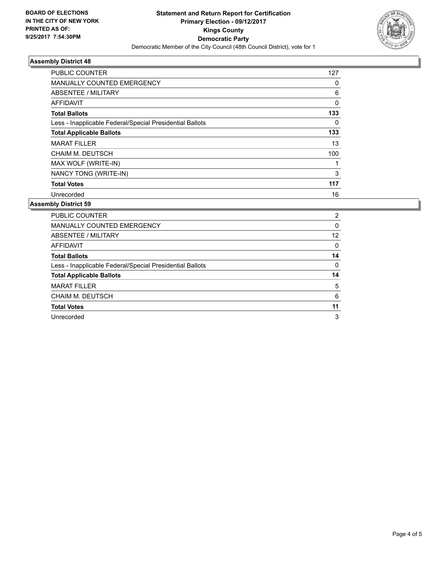

## **Assembly District 48**

| PUBLIC COUNTER                                           | 127         |
|----------------------------------------------------------|-------------|
| <b>MANUALLY COUNTED EMERGENCY</b>                        | 0           |
| ABSENTEE / MILITARY                                      | 6           |
| AFFIDAVIT                                                | $\mathbf 0$ |
| <b>Total Ballots</b>                                     | 133         |
| Less - Inapplicable Federal/Special Presidential Ballots | 0           |
| <b>Total Applicable Ballots</b>                          | 133         |
| <b>MARAT FILLER</b>                                      | 13          |
| CHAIM M. DEUTSCH                                         | 100         |
| MAX WOLF (WRITE-IN)                                      |             |
| NANCY TONG (WRITE-IN)                                    | 3           |
| <b>Total Votes</b>                                       | 117         |
| Unrecorded                                               | 16          |

#### **Assembly District 59**

| <b>PUBLIC COUNTER</b>                                    | 2  |
|----------------------------------------------------------|----|
| MANUALLY COUNTED EMERGENCY                               | 0  |
| ABSENTEE / MILITARY                                      | 12 |
| AFFIDAVIT                                                | 0  |
| <b>Total Ballots</b>                                     | 14 |
| Less - Inapplicable Federal/Special Presidential Ballots | 0  |
| <b>Total Applicable Ballots</b>                          | 14 |
| <b>MARAT FILLER</b>                                      | 5  |
| CHAIM M. DEUTSCH                                         | 6  |
| <b>Total Votes</b>                                       | 11 |
| Unrecorded                                               | 3  |